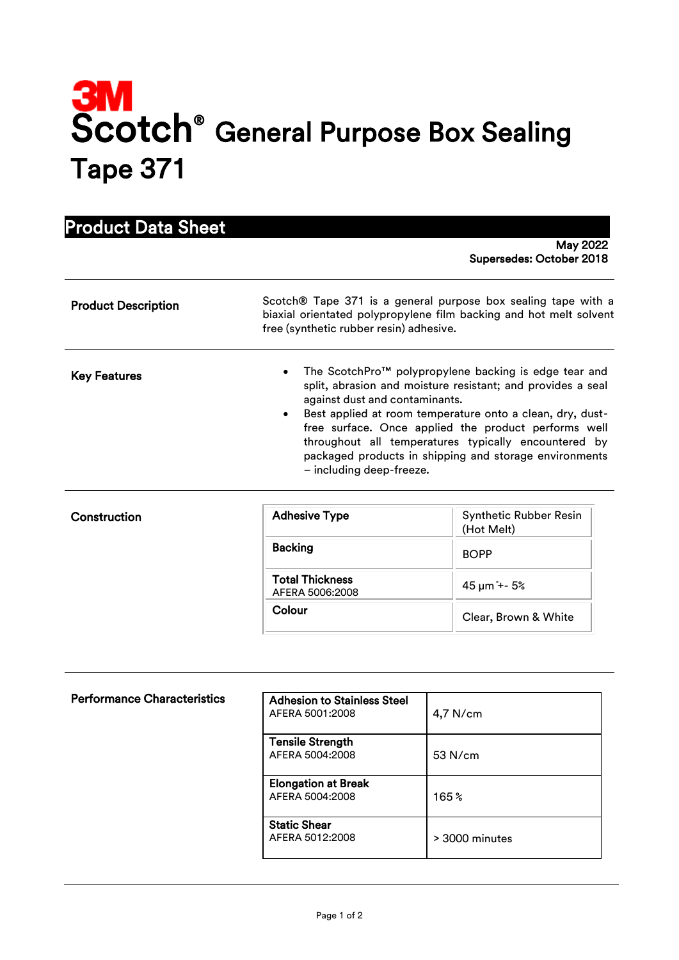## Scotch<sup>®</sup> General Purpose Box Sealing Tape 371

## Product Data Sheet

Construction

 May 2022 Supersedes: October 2018

| <b>Product Description</b> | Scotch® Tape 371 is a general purpose box sealing tape with a<br>biaxial orientated polypropylene film backing and hot melt solvent<br>free (synthetic rubber resin) adhesive.                                                                                                                                                                                                                                                                      |  |
|----------------------------|-----------------------------------------------------------------------------------------------------------------------------------------------------------------------------------------------------------------------------------------------------------------------------------------------------------------------------------------------------------------------------------------------------------------------------------------------------|--|
| <b>Key Features</b>        | The ScotchPro™ polypropylene backing is edge tear and<br>$\bullet$<br>split, abrasion and moisture resistant; and provides a seal<br>against dust and contaminants.<br>Best applied at room temperature onto a clean, dry, dust-<br>$\bullet$<br>free surface. Once applied the product performs well<br>throughout all temperatures typically encountered by<br>packaged products in shipping and storage environments<br>- including deep-freeze. |  |
|                            |                                                                                                                                                                                                                                                                                                                                                                                                                                                     |  |

| <b>Adhesive Type</b>                      | <b>Synthetic Rubber Resin</b><br>(Hot Melt) |
|-------------------------------------------|---------------------------------------------|
| <b>Backing</b>                            | <b>BOPP</b>                                 |
| <b>Total Thickness</b><br>AFERA 5006:2008 |                                             |
| Colour                                    | Clear, Brown & White                        |

| <b>Performance Characteristics</b> | <b>Adhesion to Stainless Steel</b><br>AFERA 5001:2008 | $4,7$ N/cm       |
|------------------------------------|-------------------------------------------------------|------------------|
|                                    | <b>Tensile Strength</b><br>AFERA 5004:2008            | 53 N/cm          |
|                                    | <b>Elongation at Break</b><br>AFERA 5004:2008         | 165%             |
|                                    | <b>Static Shear</b><br>AFERA 5012:2008                | $> 3000$ minutes |